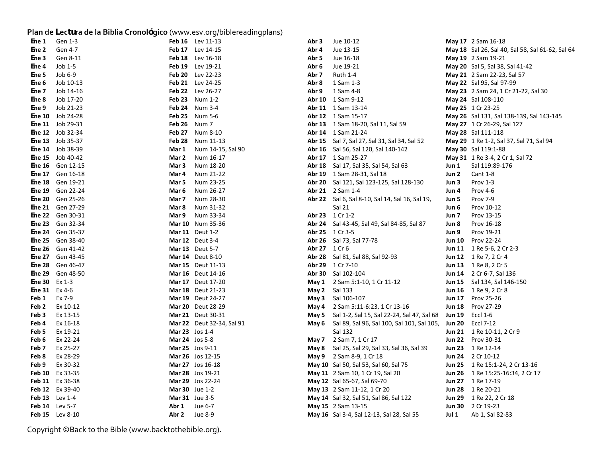## **Plan de <sup>L</sup>ectura de la Biblia Cronológico** (www.esv.org/biblereadingplans)

| Ene 1         | Gen 1-3   | Feb 16        | Lev 11-13          |
|---------------|-----------|---------------|--------------------|
| Ene 2         | Gen 4-7   | <b>Feb 17</b> | Lev 14-15          |
| Ene 3         | Gen 8-11  | Feb 18        | Lev 16-18          |
| Ene 4         | Job 1-5   | Feb 19        | Lev 19-21          |
| Ene 5         | Job 6-9   | <b>Feb 20</b> | Lev 22-23          |
| Ene 6         | Job 10-13 | <b>Feb 21</b> | Lev 24-25          |
| Ene 7         | Job 14-16 | Feb 22        | Lev 26-27          |
| Ene 8         | Job 17-20 | <b>Feb 23</b> | Num 1-2            |
| Ene 9         | Job 21-23 | Feb 24        | Num 3-4            |
| Ene 10        | Job 24-28 | Feb 25        | Num 5-6            |
| Ene 11        | Job 29-31 | <b>Feb 26</b> | Num 7              |
| <b>Ene 12</b> | Job 32-34 | Feb 27        | Num 8-10           |
| Ene 13        | Job 35-37 | Feb 28        | Num 11-13          |
| Ene 14        | Job 38-39 | Mar 1         | Num 14-15, Sal 90  |
| <b>Ene 15</b> | Job 40-42 | Mar 2         | Num 16-17          |
| Ene 16        | Gen 12-15 | Mar 3         | Num 18-20          |
| Ene 17        | Gen 16-18 | Mar 4         | Num 21-22          |
| <b>Ene 18</b> | Gen 19-21 | Mar 5         | Num 23-25          |
| Ene 19        | Gen 22-24 | Mar 6         | Num 26-27          |
| <b>Ene 20</b> | Gen 25-26 | Mar 7         | Num 28-30          |
| Ene 21        | Gen 27-29 | Mar 8         | Num 31-32          |
| Ene 22        | Gen 30-31 | Mar 9         | Num 33-34          |
| <b>Ene 23</b> | Gen 32-34 | <b>Mar 10</b> | Num 35-36          |
| Ene 24        | Gen 35-37 | Mar 11        | Deut 1-2           |
| Ene 25        | Gen 38-40 | <b>Mar 12</b> | Deut 3-4           |
| <b>Ene 26</b> | Gen 41-42 | <b>Mar 13</b> | Deut 5-7           |
| Ene 27        | Gen 43-45 | Mar 14        | Deut 8-10          |
| Ene 28        | Gen 46-47 | <b>Mar 15</b> | Deut 11-13         |
| Ene 29        | Gen 48-50 | <b>Mar 16</b> | Deut 14-16         |
| Ene 30        | Ex 1-3    | Mar 17        | Deut 17-20         |
| <b>Ene 31</b> | Ex 4-6    | <b>Mar 18</b> | Deut 21-23         |
| Feb 1         | Ex 7-9    | Mar 19        | Deut 24-27         |
| Feb 2         | Ex 10-12  | <b>Mar 20</b> | Deut 28-29         |
| Feb 3         | Ex 13-15  | <b>Mar 21</b> | Deut 30-31         |
| Feb 4         | Ex 16-18  | <b>Mar 22</b> | Deut 32-34, Sal 91 |
| Feb 5         | Ex 19-21  | <b>Mar 23</b> | $Jos 1-4$          |
| Feb 6         | Ex 22-24  | <b>Mar 24</b> | Jos 5-8            |
| Feb 7         | Ex 25-27  | <b>Mar 25</b> | Jos 9-11           |
| Feb 8         | Ex 28-29  | <b>Mar 26</b> | Jos 12-15          |
| Feb 9         | Ex 30-32  | <b>Mar 27</b> | Jos 16-18          |
| <b>Feb 10</b> | Ex 33-35  | <b>Mar 28</b> | Jos 19-21          |
| <b>Feb 11</b> | Ex 36-38  | <b>Mar 29</b> | Jos 22-24          |
| Feb 12        | Ex 39-40  | <b>Mar 30</b> | Jue 1-2            |
| Feb 13        | Lev 1-4   | <b>Mar 31</b> | Jue 3-5            |
| <b>Feb 14</b> | Lev 5-7   | Abr 1         | Jue 6-7            |
| Feb 15        | Lev 8-10  | Abr 2         | Jue 8-9            |

| E <b>ne 1</b>       | Gen 1-3                  |                       | Feb 16 Lev 11-13          | Abr 3         | Jue 10-12                                                        |       | May 17 2 Sam 16-18                               |
|---------------------|--------------------------|-----------------------|---------------------------|---------------|------------------------------------------------------------------|-------|--------------------------------------------------|
| E <b>ne 2</b>       | Gen 4-7                  |                       | Feb 17 Lev 14-15          | Abr 4         | Jue 13-15                                                        |       | May 18 Sal 26, Sal 40, Sal 58, Sal 61-62, Sal 64 |
| Ene 3               | Gen 8-11                 |                       | <b>Feb 18</b> Lev 16-18   | Abr 5         | Jue 16-18                                                        |       | May 19 2 Sam 19-21                               |
| Ene 4               | $Job 1-5$                |                       | Feb 19 Lev 19-21          | Abr 6         | Jue 19-21                                                        |       | May 20 Sal 5, Sal 38, Sal 41-42                  |
| Ene 5               | Job $6-9$                |                       | Feb 20 Lev 22-23          | Abr 7         | Ruth 1-4                                                         |       | May 21 2 Sam 22-23, Sal 57                       |
| Ene 6               | Job 10-13                |                       | <b>Feb 21</b> Lev 24-25   | Abr 8         | 1 Sam 1-3                                                        |       | May 22 Sal 95, Sal 97-99                         |
| Ene 7               | Job 14-16                |                       | Feb 22 Lev 26-27          |               | Abr 9 1 Sam 4-8                                                  |       | May 23 2 Sam 24, 1 Cr 21-22, Sal 30              |
|                     | Ene 8 Job 17-20          |                       | Feb 23 Num 1-2            |               | Abr 10 1 Sam 9-12                                                |       | <b>May 24</b> Sal 108-110                        |
|                     | Ene 9 Job 21-23          |                       | Feb 24 Num 3-4            |               | <b>Abr 11</b> 1 Sam 13-14                                        |       | May 25 1 Cr 23-25                                |
|                     | Ene 10 Job 24-28         |                       | <b>Feb 25</b> Num 5-6     |               | <b>Abr 12</b> 1 Sam 15-17                                        |       | May 26 Sal 131, Sal 138-139, Sal 143-145         |
|                     | Ene 11 Job 29-31         | <b>Feb 26</b> Num 7   |                           |               | Abr 13 1 Sam 18-20, Sal 11, Sal 59                               |       | <b>May 27</b> 1 Cr 26-29, Sal 127                |
|                     | Ene 12 Job 32-34         |                       | Feb 27 Num 8-10           |               | Abr 14 1 Sam 21-24                                               |       | May 28 Sal 111-118                               |
|                     | Ene 13 Job 35-37         |                       | Feb 28 Num 11-13          |               | <b>Abr 15</b> Sal 7, Sal 27, Sal 31, Sal 34, Sal 52              |       | <b>May 29</b> 1 Re 1-2, Sal 37, Sal 71, Sal 94   |
|                     | Ene 14 Job 38-39         | Mar 1                 | Num 14-15, Sal 90         |               | Abr 16 Sal 56, Sal 120, Sal 140-142                              |       | May 30 Sal 119:1-88                              |
|                     | Ene 15 Job 40-42         | Mar 2                 | Num 16-17                 |               | Abr 17 1 Sam 25-27                                               |       | May 31 1 Re 3-4, 2 Cr 1, Sal 72                  |
|                     | E <b>ne 16</b> Gen 12-15 | Mar 3                 | Num 18-20                 |               | <b>Abr 18</b> Sal 17, Sal 35, Sal 54, Sal 63                     |       | <b>Jun 1</b> Sal $119:89-176$                    |
|                     | E <b>ne 17</b> Gen 16-18 | Mar 4                 | Num 21-22                 |               | <b>Abr 19</b> 1 Sam 28-31, Sal 18                                | Jun 2 | Cant 1-8                                         |
|                     | Ene 18 Gen 19-21         | Mar 5                 | Num 23-25                 |               | Abr 20 Sal 121, Sal 123-125, Sal 128-130                         | Jun 3 | Prov $1-3$                                       |
|                     | Ene 19 Gen 22-24         | Mar 6                 | Num 26-27                 |               | <b>Abr 21</b> 2 Sam 1-4                                          | Jun 4 | Prov 4-6                                         |
|                     | Ene 20 Gen 25-26         | Mar 7                 | Num 28-30                 |               | Abr 22 Sal 6, Sal 8-10, Sal 14, Sal 16, Sal 19,                  | Jun 5 | Prov 7-9                                         |
|                     | Ene 21 Gen 27-29         | Mar 8                 | Num 31-32                 |               | Sal 21                                                           | Jun 6 | Prov 10-12                                       |
|                     | Ene 22 Gen 30-31         | Mar 9                 | Num 33-34                 |               | Abr 23 1 Cr 1-2                                                  | Jun 7 | Prov 13-15                                       |
|                     | Ene 23 Gen 32-34         |                       | Mar 10 Num 35-36          |               | <b>Abr 24</b> Sal 43-45, Sal 49, Sal 84-85, Sal 87               | Jun 8 | Prov 16-18                                       |
|                     | Ene 24 Gen 35-37         |                       | <b>Mar 11</b> Deut 1-2    |               | Abr 25 1 Cr 3-5                                                  | Jun 9 | Prov 19-21                                       |
|                     | Ene 25 Gen 38-40         |                       | <b>Mar 12</b> Deut 3-4    |               | <b>Abr 26</b> Sal 73, Sal 77-78                                  |       | <b>Jun 10</b> Prov 22-24                         |
|                     | Ene 26 Gen 41-42         |                       | <b>Mar 13</b> Deut 5-7    | Abr 27 1 Cr 6 |                                                                  |       | Jun 11 1 Re 5-6, 2 Cr 2-3                        |
|                     | E <b>ne 27</b> Gen 43-45 |                       | <b>Mar 14</b> Deut 8-10   |               | <b>Abr 28</b> Sal 81, Sal 88, Sal 92-93                          |       | <b>Jun 12</b> 1 Re 7, 2 Cr 4                     |
|                     | Ene 28 Gen 46-47         |                       | <b>Mar 15</b> Deut 11-13  |               | Abr 29 1 Cr 7-10                                                 |       | <b>Jun 13</b> 1 Re 8, 2 Cr 5                     |
|                     | Ene 29 Gen 48-50         |                       | <b>Mar 16</b> Deut 14-16  |               | Abr 30 Sal 102-104                                               |       | Jun 14 2 Cr 6-7, Sal 136                         |
| Ene 30 Ex 1-3       |                          |                       | <b>Mar 17</b> Deut 17-20  |               | May 1 2 Sam 5:1-10, 1 Cr 11-12                                   |       | <b>Jun 15</b> Sal 134, Sal 146-150               |
| Ene 31 Ex 4-6       |                          |                       | <b>Mar 18</b> Deut 21-23  |               | <b>May 2</b> Sal 133                                             |       | <b>Jun 16</b> 1 Re 9, 2 Cr 8                     |
| <b>Feb 1</b> Ex 7-9 |                          |                       | <b>Mar 19</b> Deut 24-27  |               | May 3 Sal 106-107                                                |       | <b>Jun 17</b> Prov 25-26                         |
| Feb 2               | Ex 10-12                 |                       | <b>Mar 20</b> Deut 28-29  |               | May 4 2 Sam 5:11-6:23, 1 Cr 13-16                                |       | <b>Jun 18</b> Prov 27-29                         |
| Feb 3               | Ex 13-15                 |                       | Mar 21 Deut 30-31         |               | May 5 Sal 1-2, Sal 15, Sal 22-24, Sal 47, Sal 68 Jun 19 Eccl 1-6 |       |                                                  |
| Feb 4               | Ex 16-18                 |                       | Mar 22 Deut 32-34, Sal 91 | May 6         | Sal 89, Sal 96, Sal 100, Sal 101, Sal 105, Jun 20 Eccl 7-12      |       |                                                  |
| Feb 5               | Ex 19-21                 | <b>Mar 23</b> Jos 1-4 |                           |               | Sal 132                                                          |       | <b>Jun 21</b> 1 Re 10-11, 2 Cr 9                 |
| Feb 6               | Ex 22-24                 | <b>Mar 24</b> Jos 5-8 |                           |               | <b>May 7</b> 2 Sam 7, 1 Cr 17                                    |       | <b>Jun 22</b> Prov 30-31                         |
| Feb 7               | Ex 25-27                 |                       | Mar 25 Jos 9-11           |               | May 8 Sal 25, Sal 29, Sal 33, Sal 36, Sal 39                     |       | <b>Jun 23</b> 1 Re 12-14                         |
| Feb 8               | Ex 28-29                 |                       | <b>Mar 26</b> Jos 12-15   |               | May 9 2 Sam 8-9, 1 Cr 18                                         |       | Jun 24 2 Cr 10-12                                |
| Feb 9               | Ex 30-32                 |                       | Mar 27 Jos 16-18          |               | May 10 Sal 50, Sal 53, Sal 60, Sal 75                            |       | <b>Jun 25</b> 1 Re 15:1-24, 2 Cr 13-16           |
|                     | Feb 10 Ex 33-35          |                       | Mar 28 Jos 19-21          |               | May 11 2 Sam 10, 1 Cr 19, Sal 20                                 |       | Jun 26 1 Re 15:25-16:34, 2 Cr 17                 |
|                     | <b>Feb 11</b> Ex 36-38   |                       | Mar 29 Jos 22-24          |               | May 12 Sal 65-67, Sal 69-70                                      |       | Jun 27 1 Re 17-19                                |
|                     | <b>Feb 12</b> Ex 39-40   | <b>Mar 30</b> Jue 1-2 |                           |               | May 13 2 Sam 11-12, 1 Cr 20                                      |       | Jun 28 1 Re 20-21                                |
|                     | <b>Feb 13</b> Lev 1-4    | <b>Mar 31</b> Jue 3-5 |                           |               | May 14 Sal 32, Sal 51, Sal 86, Sal 122                           |       | Jun 29 1 Re 22, 2 Cr 18                          |
|                     | Feb 14 Lev 5-7           | Abr $1$ Jue 6-7       |                           |               | May 15 2 Sam 13-15                                               |       | Jun 30 2 Cr 19-23                                |
|                     | Feb 15 Lev 8-10          | Abr $2$ Jue 8-9       |                           |               | May 16 Sal 3-4, Sal 12-13, Sal 28, Sal 55                        | Jul 1 | Ab 1, Sal 82-83                                  |